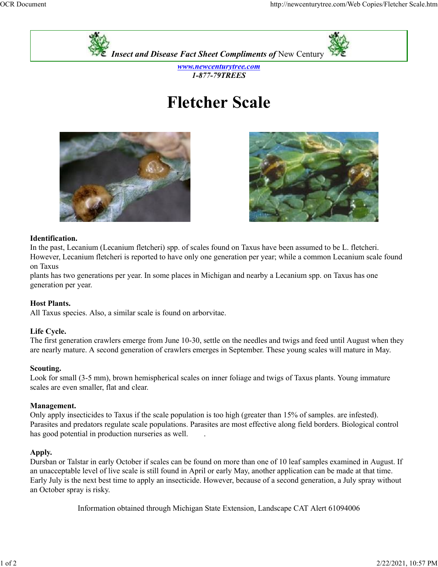



www.newcenturytree.com 1-877-79TREES

# Fletcher Scale





## Identification.

In the past, Lecanium (Lecanium fletcheri) spp. of scales found on Taxus have been assumed to be L. fletcheri. However, Lecanium fletcheri is reported to have only one generation per year; while a common Lecanium scale found on Taxus

plants has two generations per year. In some places in Michigan and nearby a Lecanium spp. on Taxus has one generation per year.

## Host Plants.

All Taxus species. Also, a similar scale is found on arborvitae.

## Life Cycle.

The first generation crawlers emerge from June 10-30, settle on the needles and twigs and feed until August when they are nearly mature. A second generation of crawlers emerges in September. These young scales will mature in May.

## Scouting.

Look for small (3-5 mm), brown hemispherical scales on inner foliage and twigs of Taxus plants. Young immature scales are even smaller, flat and clear.

## Management.

Only apply insecticides to Taxus if the scale population is too high (greater than 15% of samples. are infested). Parasites and predators regulate scale populations. Parasites are most effective along field borders. Biological control In the past, Lecanium flectent and relevant increases potent and reast someon of reactions.<br>However, Lecanium fletcheri is reported to have only one generation per year; while a common Lecanium scale found<br>on Taxus has one

## Apply.

Dursban or Talstar in early October if scales can be found on more than one of 10 leaf samples examined in August. If an unacceptable level of live scale is still found in April or early May, another application can be made at that time. Early July is the next best time to apply an insecticide. However, because of a second generation, a July spray without an October spray is risky.

Information obtained through Michigan State Extension, Landscape CAT Alert 61094006